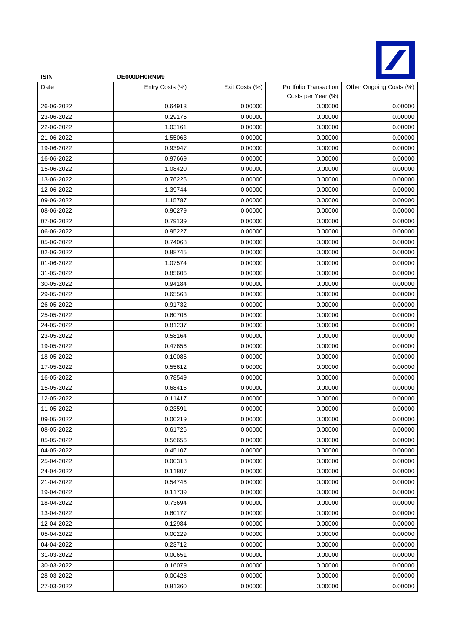

| <b>ISIN</b> | DE000DH0RNM9    |                |                                             |                         |
|-------------|-----------------|----------------|---------------------------------------------|-------------------------|
| Date        | Entry Costs (%) | Exit Costs (%) | Portfolio Transaction<br>Costs per Year (%) | Other Ongoing Costs (%) |
| 26-06-2022  | 0.64913         | 0.00000        | 0.00000                                     | 0.00000                 |
| 23-06-2022  | 0.29175         | 0.00000        | 0.00000                                     | 0.00000                 |
| 22-06-2022  | 1.03161         | 0.00000        | 0.00000                                     | 0.00000                 |
| 21-06-2022  | 1.55063         | 0.00000        | 0.00000                                     | 0.00000                 |
| 19-06-2022  | 0.93947         | 0.00000        | 0.00000                                     | 0.00000                 |
| 16-06-2022  | 0.97669         | 0.00000        | 0.00000                                     | 0.00000                 |
| 15-06-2022  | 1.08420         | 0.00000        | 0.00000                                     | 0.00000                 |
| 13-06-2022  | 0.76225         | 0.00000        | 0.00000                                     | 0.00000                 |
| 12-06-2022  | 1.39744         | 0.00000        | 0.00000                                     | 0.00000                 |
| 09-06-2022  | 1.15787         | 0.00000        | 0.00000                                     | 0.00000                 |
| 08-06-2022  | 0.90279         | 0.00000        | 0.00000                                     | 0.00000                 |
| 07-06-2022  | 0.79139         | 0.00000        | 0.00000                                     | 0.00000                 |
| 06-06-2022  | 0.95227         | 0.00000        | 0.00000                                     | 0.00000                 |
| 05-06-2022  | 0.74068         | 0.00000        | 0.00000                                     | 0.00000                 |
| 02-06-2022  | 0.88745         | 0.00000        | 0.00000                                     | 0.00000                 |
| 01-06-2022  | 1.07574         | 0.00000        | 0.00000                                     | 0.00000                 |
| 31-05-2022  | 0.85606         | 0.00000        | 0.00000                                     | 0.00000                 |
| 30-05-2022  | 0.94184         | 0.00000        | 0.00000                                     | 0.00000                 |
| 29-05-2022  | 0.65563         | 0.00000        | 0.00000                                     | 0.00000                 |
| 26-05-2022  | 0.91732         | 0.00000        | 0.00000                                     | 0.00000                 |
| 25-05-2022  | 0.60706         | 0.00000        | 0.00000                                     | 0.00000                 |
| 24-05-2022  | 0.81237         | 0.00000        | 0.00000                                     | 0.00000                 |
| 23-05-2022  | 0.58164         | 0.00000        | 0.00000                                     | 0.00000                 |
| 19-05-2022  | 0.47656         | 0.00000        | 0.00000                                     | 0.00000                 |
| 18-05-2022  | 0.10086         | 0.00000        | 0.00000                                     | 0.00000                 |
| 17-05-2022  | 0.55612         | 0.00000        | 0.00000                                     | 0.00000                 |
| 16-05-2022  | 0.78549         | 0.00000        | 0.00000                                     | 0.00000                 |
| 15-05-2022  | 0.68416         | 0.00000        | 0.00000                                     | 0.00000                 |
| 12-05-2022  | 0.11417         | 0.00000        | 0.00000                                     | 0.00000                 |
| 11-05-2022  | 0.23591         | 0.00000        | 0.00000                                     | 0.00000                 |
| 09-05-2022  | 0.00219         | 0.00000        | 0.00000                                     | 0.00000                 |
| 08-05-2022  | 0.61726         | 0.00000        | 0.00000                                     | 0.00000                 |
| 05-05-2022  | 0.56656         | 0.00000        | 0.00000                                     | 0.00000                 |
| 04-05-2022  | 0.45107         | 0.00000        | 0.00000                                     | 0.00000                 |
| 25-04-2022  | 0.00318         | 0.00000        | 0.00000                                     | 0.00000                 |
| 24-04-2022  | 0.11807         | 0.00000        | 0.00000                                     | 0.00000                 |
| 21-04-2022  | 0.54746         | 0.00000        | 0.00000                                     | 0.00000                 |
| 19-04-2022  | 0.11739         | 0.00000        | 0.00000                                     | 0.00000                 |
| 18-04-2022  | 0.73694         | 0.00000        | 0.00000                                     | 0.00000                 |
| 13-04-2022  | 0.60177         | 0.00000        | 0.00000                                     | 0.00000                 |
| 12-04-2022  | 0.12984         | 0.00000        | 0.00000                                     | 0.00000                 |
| 05-04-2022  | 0.00229         | 0.00000        | 0.00000                                     | 0.00000                 |
| 04-04-2022  | 0.23712         | 0.00000        | 0.00000                                     | 0.00000                 |
| 31-03-2022  | 0.00651         | 0.00000        | 0.00000                                     | 0.00000                 |
| 30-03-2022  | 0.16079         | 0.00000        | 0.00000                                     | 0.00000                 |
| 28-03-2022  | 0.00428         | 0.00000        | 0.00000                                     | 0.00000                 |
| 27-03-2022  | 0.81360         | 0.00000        | 0.00000                                     | 0.00000                 |